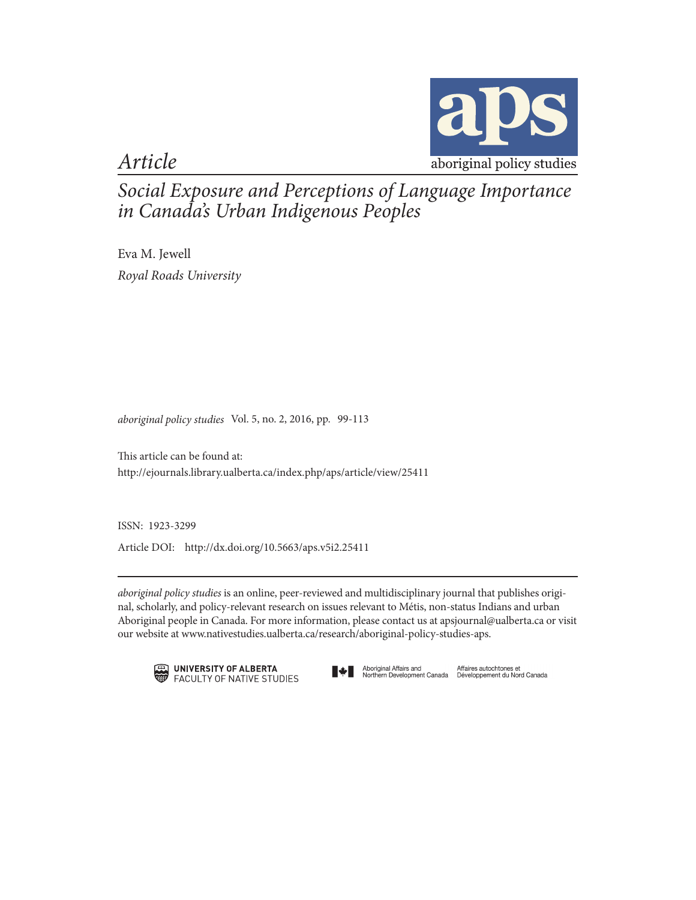

*Article*

*Social Exposure and Perceptions of Language Importance in Canada's Urban Indigenous Peoples*

Eva M. Jewell *Royal Roads University*

*aboriginal policy studies* Vol. 5, no. 2, 2016, pp. 99-113

This article can be found at: http://ejournals.library.ualberta.ca/index.php/aps/article/view/25411

ISSN: 1923-3299

Article DOI: http://dx.doi.org/10.5663/aps.v5i2.25411

*aboriginal policy studies* is an online, peer-reviewed and multidisciplinary journal that publishes original, scholarly, and policy-relevant research on issues relevant to Métis, non-status Indians and urban Aboriginal people in Canada. For more information, please contact us at apsjournal@ualberta.ca or visit our website at www.nativestudies.ualberta.ca/research/aboriginal-policy-studies-aps.





Aboriginal Affairs and Mfaires autochtones et<br>Northern Development Canada Développement du Nord Canada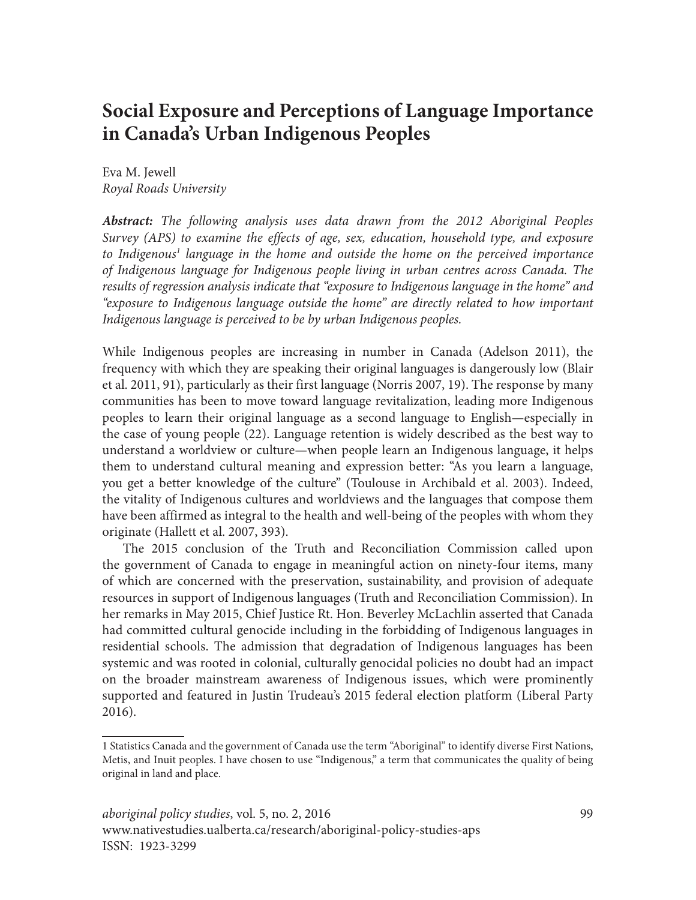# **Social Exposure and Perceptions of Language Importance in Canada's Urban Indigenous Peoples**

Eva M. Jewell *Royal Roads University*

*Abstract: The following analysis uses data drawn from the 2012 Aboriginal Peoples Survey (APS) to examine the effects of age, sex, education, household type, and exposure*  to Indigenous<sup>1</sup> language in the home and outside the home on the perceived importance *of Indigenous language for Indigenous people living in urban centres across Canada. The results of regression analysis indicate that "exposure to Indigenous language in the home" and "exposure to Indigenous language outside the home" are directly related to how important Indigenous language is perceived to be by urban Indigenous peoples.*

While Indigenous peoples are increasing in number in Canada (Adelson 2011), the frequency with which they are speaking their original languages is dangerously low (Blair et al. 2011, 91), particularly as their first language (Norris 2007, 19). The response by many communities has been to move toward language revitalization, leading more Indigenous peoples to learn their original language as a second language to English—especially in the case of young people (22). Language retention is widely described as the best way to understand a worldview or culture—when people learn an Indigenous language, it helps them to understand cultural meaning and expression better: "As you learn a language, you get a better knowledge of the culture" (Toulouse in Archibald et al. 2003). Indeed, the vitality of Indigenous cultures and worldviews and the languages that compose them have been affirmed as integral to the health and well-being of the peoples with whom they originate (Hallett et al. 2007, 393).

The 2015 conclusion of the Truth and Reconciliation Commission called upon the government of Canada to engage in meaningful action on ninety-four items, many of which are concerned with the preservation, sustainability, and provision of adequate resources in support of Indigenous languages (Truth and Reconciliation Commission). In her remarks in May 2015, Chief Justice Rt. Hon. Beverley McLachlin asserted that Canada had committed cultural genocide including in the forbidding of Indigenous languages in residential schools. The admission that degradation of Indigenous languages has been systemic and was rooted in colonial, culturally genocidal policies no doubt had an impact on the broader mainstream awareness of Indigenous issues, which were prominently supported and featured in Justin Trudeau's 2015 federal election platform (Liberal Party 2016).

<sup>1</sup> Statistics Canada and the government of Canada use the term "Aboriginal" to identify diverse First Nations, Metis, and Inuit peoples. I have chosen to use "Indigenous," a term that communicates the quality of being original in land and place.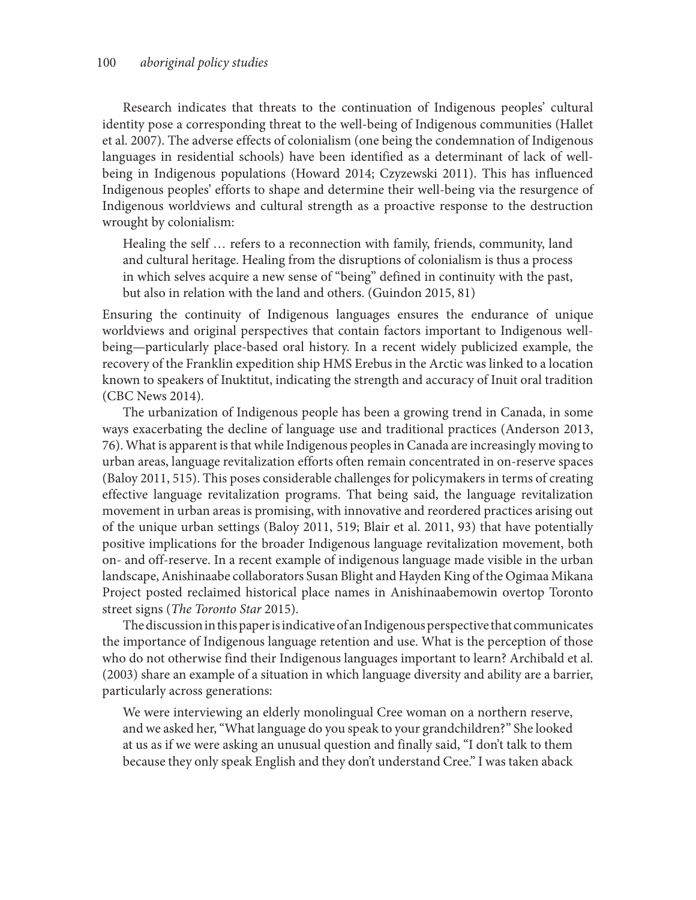Research indicates that threats to the continuation of Indigenous peoples' cultural identity pose a corresponding threat to the well-being of Indigenous communities (Hallet et al. 2007). The adverse effects of colonialism (one being the condemnation of Indigenous languages in residential schools) have been identified as a determinant of lack of wellbeing in Indigenous populations (Howard 2014; Czyzewski 2011). This has influenced Indigenous peoples' efforts to shape and determine their well-being via the resurgence of Indigenous worldviews and cultural strength as a proactive response to the destruction wrought by colonialism:

Healing the self … refers to a reconnection with family, friends, community, land and cultural heritage. Healing from the disruptions of colonialism is thus a process in which selves acquire a new sense of "being" defined in continuity with the past, but also in relation with the land and others. (Guindon 2015, 81)

Ensuring the continuity of Indigenous languages ensures the endurance of unique worldviews and original perspectives that contain factors important to Indigenous wellbeing—particularly place-based oral history. In a recent widely publicized example, the recovery of the Franklin expedition ship HMS Erebus in the Arctic was linked to a location known to speakers of Inuktitut, indicating the strength and accuracy of Inuit oral tradition (CBC News 2014).

The urbanization of Indigenous people has been a growing trend in Canada, in some ways exacerbating the decline of language use and traditional practices (Anderson 2013, 76). What is apparent is that while Indigenous peoples in Canada are increasingly moving to urban areas, language revitalization efforts often remain concentrated in on-reserve spaces (Baloy 2011, 515). This poses considerable challenges for policymakers in terms of creating effective language revitalization programs. That being said, the language revitalization movement in urban areas is promising, with innovative and reordered practices arising out of the unique urban settings (Baloy 2011, 519; Blair et al. 2011, 93) that have potentially positive implications for the broader Indigenous language revitalization movement, both on- and off-reserve. In a recent example of indigenous language made visible in the urban landscape, Anishinaabe collaborators Susan Blight and Hayden King of the Ogimaa Mikana Project posted reclaimed historical place names in Anishinaabemowin overtop Toronto street signs (*The Toronto Star* 2015).

The discussion in this paper is indicative of an Indigenous perspective that communicates the importance of Indigenous language retention and use. What is the perception of those who do not otherwise find their Indigenous languages important to learn? Archibald et al. (2003) share an example of a situation in which language diversity and ability are a barrier, particularly across generations:

We were interviewing an elderly monolingual Cree woman on a northern reserve, and we asked her, "What language do you speak to your grandchildren?" She looked at us as if we were asking an unusual question and finally said, "I don't talk to them because they only speak English and they don't understand Cree." I was taken aback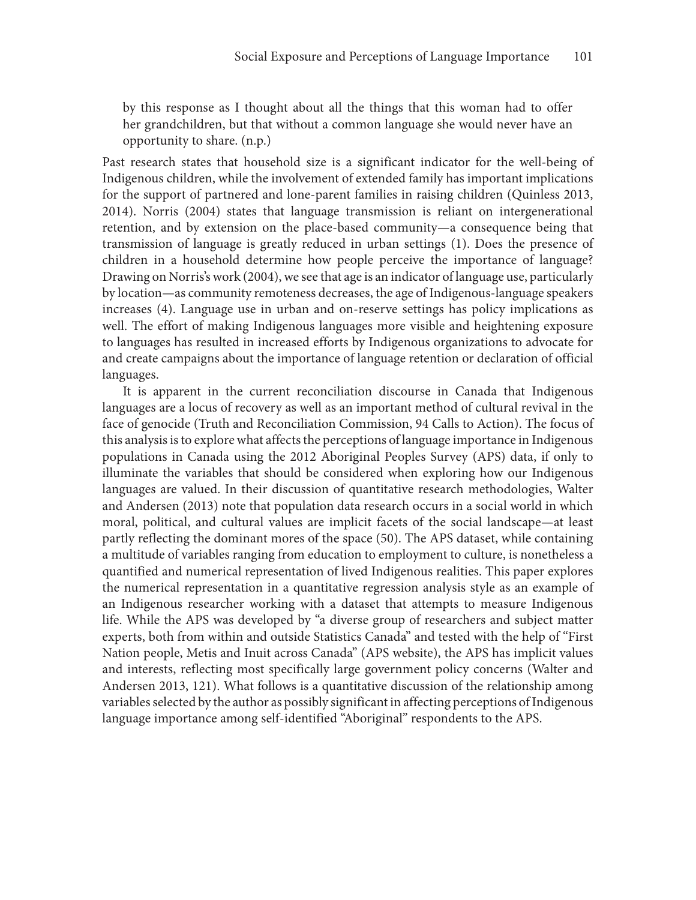by this response as I thought about all the things that this woman had to offer her grandchildren, but that without a common language she would never have an opportunity to share. (n.p.)

Past research states that household size is a significant indicator for the well-being of Indigenous children, while the involvement of extended family has important implications for the support of partnered and lone-parent families in raising children (Quinless 2013, 2014). Norris (2004) states that language transmission is reliant on intergenerational retention, and by extension on the place-based community—a consequence being that transmission of language is greatly reduced in urban settings (1). Does the presence of children in a household determine how people perceive the importance of language? Drawing on Norris's work (2004), we see that age is an indicator of language use, particularly by location—as community remoteness decreases, the age of Indigenous-language speakers increases (4). Language use in urban and on-reserve settings has policy implications as well. The effort of making Indigenous languages more visible and heightening exposure to languages has resulted in increased efforts by Indigenous organizations to advocate for and create campaigns about the importance of language retention or declaration of official languages.

It is apparent in the current reconciliation discourse in Canada that Indigenous languages are a locus of recovery as well as an important method of cultural revival in the face of genocide (Truth and Reconciliation Commission, 94 Calls to Action). The focus of this analysis is to explore what affects the perceptions of language importance in Indigenous populations in Canada using the 2012 Aboriginal Peoples Survey (APS) data, if only to illuminate the variables that should be considered when exploring how our Indigenous languages are valued. In their discussion of quantitative research methodologies, Walter and Andersen (2013) note that population data research occurs in a social world in which moral, political, and cultural values are implicit facets of the social landscape—at least partly reflecting the dominant mores of the space (50). The APS dataset, while containing a multitude of variables ranging from education to employment to culture, is nonetheless a quantified and numerical representation of lived Indigenous realities. This paper explores the numerical representation in a quantitative regression analysis style as an example of an Indigenous researcher working with a dataset that attempts to measure Indigenous life. While the APS was developed by "a diverse group of researchers and subject matter experts, both from within and outside Statistics Canada" and tested with the help of "First Nation people, Metis and Inuit across Canada" (APS website), the APS has implicit values and interests, reflecting most specifically large government policy concerns (Walter and Andersen 2013, 121). What follows is a quantitative discussion of the relationship among variables selected by the author as possibly significant in affecting perceptions of Indigenous language importance among self-identified "Aboriginal" respondents to the APS.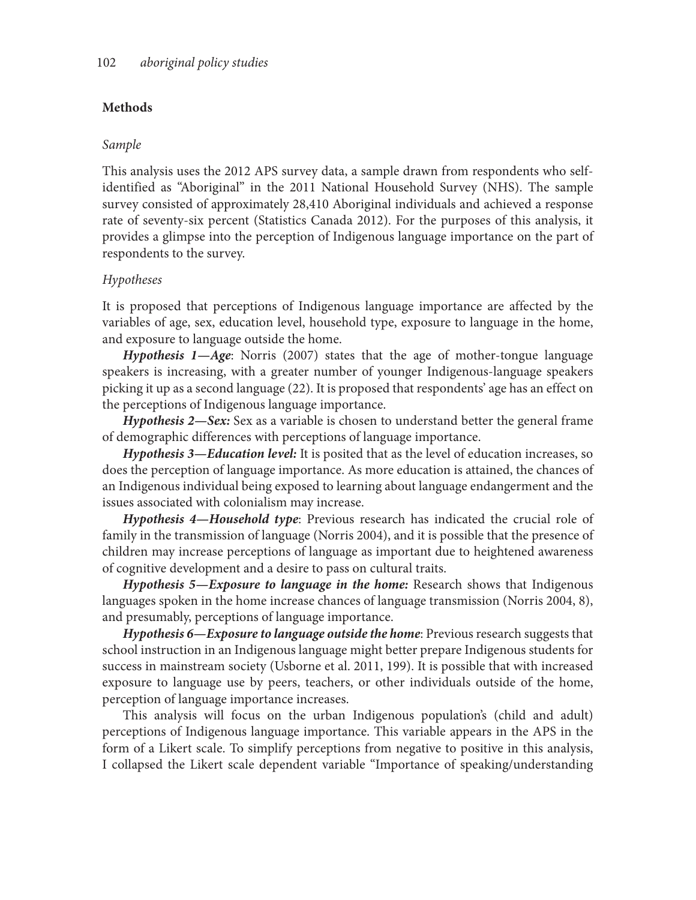# **Methods**

# *Sample*

This analysis uses the 2012 APS survey data, a sample drawn from respondents who selfidentified as "Aboriginal" in the 2011 National Household Survey (NHS). The sample survey consisted of approximately 28,410 Aboriginal individuals and achieved a response rate of seventy-six percent (Statistics Canada 2012). For the purposes of this analysis, it provides a glimpse into the perception of Indigenous language importance on the part of respondents to the survey.

# *Hypotheses*

It is proposed that perceptions of Indigenous language importance are affected by the variables of age, sex, education level, household type, exposure to language in the home, and exposure to language outside the home.

*Hypothesis 1—Age*: Norris (2007) states that the age of mother-tongue language speakers is increasing, with a greater number of younger Indigenous-language speakers picking it up as a second language (22). It is proposed that respondents' age has an effect on the perceptions of Indigenous language importance.

*Hypothesis 2—Sex:* Sex as a variable is chosen to understand better the general frame of demographic differences with perceptions of language importance.

*Hypothesis 3—Education level:* It is posited that as the level of education increases, so does the perception of language importance. As more education is attained, the chances of an Indigenous individual being exposed to learning about language endangerment and the issues associated with colonialism may increase.

*Hypothesis 4—Household type*: Previous research has indicated the crucial role of family in the transmission of language (Norris 2004), and it is possible that the presence of children may increase perceptions of language as important due to heightened awareness of cognitive development and a desire to pass on cultural traits.

*Hypothesis 5—Exposure to language in the home:* Research shows that Indigenous languages spoken in the home increase chances of language transmission (Norris 2004, 8), and presumably, perceptions of language importance.

*Hypothesis 6—Exposure to language outside the home*: Previous research suggests that school instruction in an Indigenous language might better prepare Indigenous students for success in mainstream society (Usborne et al. 2011, 199). It is possible that with increased exposure to language use by peers, teachers, or other individuals outside of the home, perception of language importance increases.

This analysis will focus on the urban Indigenous population's (child and adult) perceptions of Indigenous language importance. This variable appears in the APS in the form of a Likert scale. To simplify perceptions from negative to positive in this analysis, I collapsed the Likert scale dependent variable "Importance of speaking/understanding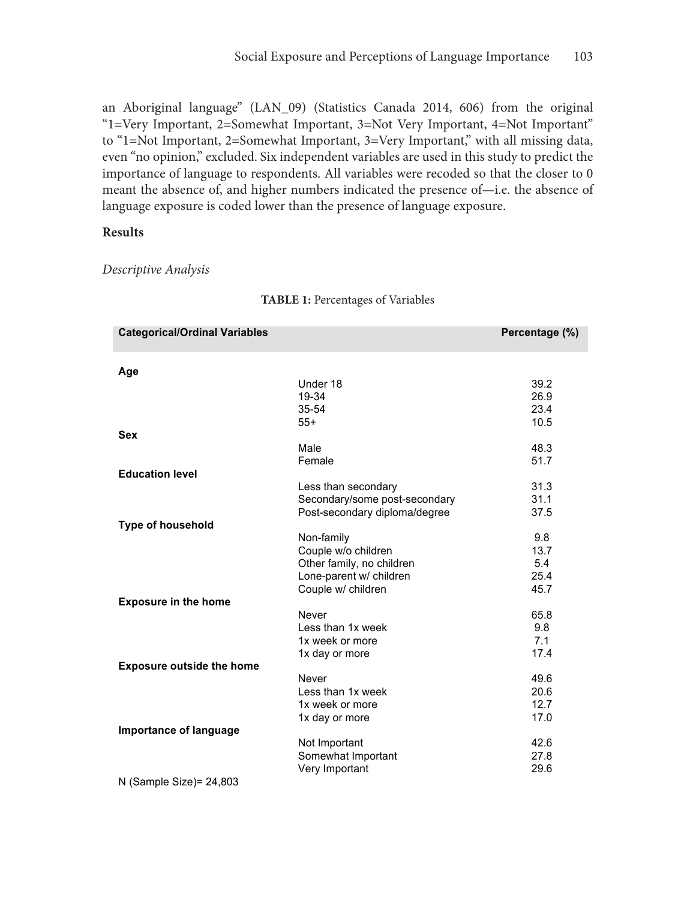an Aboriginal language" (LAN\_09) (Statistics Canada 2014, 606) from the original "1=Very Important, 2=Somewhat Important, 3=Not Very Important, 4=Not Important" to "1=Not Important, 2=Somewhat Important, 3=Very Important," with all missing data, even "no opinion," excluded. Six independent variables are used in this study to predict the importance of language to respondents. All variables were recoded so that the closer to 0 meant the absence of, and higher numbers indicated the presence of—i.e. the absence of language exposure is coded lower than the presence of language exposure.

## **Results**

*Descriptive Analysis*

| <b>Categorical/Ordinal Variables</b> |                               | Percentage (%) |
|--------------------------------------|-------------------------------|----------------|
| Age                                  |                               |                |
|                                      | Under 18                      | 39.2           |
|                                      | 19-34                         | 26.9           |
|                                      | 35-54                         | 23.4           |
|                                      | $55+$                         | 10.5           |
| <b>Sex</b>                           |                               |                |
|                                      | Male                          | 48.3           |
|                                      | Female                        | 51.7           |
| <b>Education level</b>               |                               |                |
|                                      | Less than secondary           | 31.3           |
|                                      | Secondary/some post-secondary | 31.1           |
|                                      | Post-secondary diploma/degree | 37.5           |
| Type of household                    |                               |                |
|                                      | Non-family                    | 9.8            |
|                                      | Couple w/o children           | 13.7           |
|                                      | Other family, no children     | 5.4            |
|                                      | Lone-parent w/ children       | 25.4           |
|                                      | Couple w/ children            | 45.7           |
| <b>Exposure in the home</b>          |                               |                |
|                                      | Never                         | 65.8           |
|                                      | Less than 1x week             | 9.8            |
|                                      | 1x week or more               | 7.1            |
|                                      | 1x day or more                | 17.4           |
| <b>Exposure outside the home</b>     |                               |                |
|                                      | Never                         | 49.6           |
|                                      | Less than 1x week             | 20.6           |
|                                      | 1x week or more               | 12.7           |
|                                      | 1x day or more                | 17.0           |
| Importance of language               |                               |                |
|                                      | Not Important                 | 42.6           |
|                                      | Somewhat Important            | 27.8           |
|                                      | Very Important                | 29.6           |
| N (Sample Size)= 24,803              |                               |                |

#### **TABLE 1:** Percentages of Variables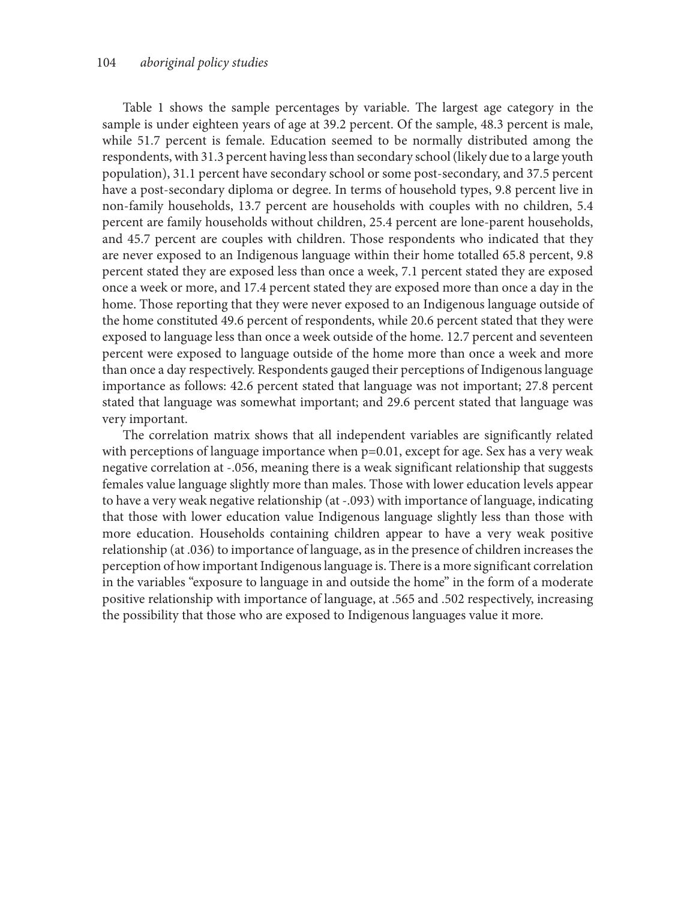Table 1 shows the sample percentages by variable. The largest age category in the sample is under eighteen years of age at 39.2 percent. Of the sample, 48.3 percent is male, while 51.7 percent is female. Education seemed to be normally distributed among the respondents, with 31.3 percent having less than secondary school (likely due to a large youth population), 31.1 percent have secondary school or some post-secondary, and 37.5 percent have a post-secondary diploma or degree. In terms of household types, 9.8 percent live in non-family households, 13.7 percent are households with couples with no children, 5.4 percent are family households without children, 25.4 percent are lone-parent households, and 45.7 percent are couples with children. Those respondents who indicated that they are never exposed to an Indigenous language within their home totalled 65.8 percent, 9.8 percent stated they are exposed less than once a week, 7.1 percent stated they are exposed once a week or more, and 17.4 percent stated they are exposed more than once a day in the home. Those reporting that they were never exposed to an Indigenous language outside of the home constituted 49.6 percent of respondents, while 20.6 percent stated that they were exposed to language less than once a week outside of the home. 12.7 percent and seventeen percent were exposed to language outside of the home more than once a week and more than once a day respectively. Respondents gauged their perceptions of Indigenous language importance as follows: 42.6 percent stated that language was not important; 27.8 percent stated that language was somewhat important; and 29.6 percent stated that language was very important.

The correlation matrix shows that all independent variables are significantly related with perceptions of language importance when  $p=0.01$ , except for age. Sex has a very weak negative correlation at -.056, meaning there is a weak significant relationship that suggests females value language slightly more than males. Those with lower education levels appear to have a very weak negative relationship (at -.093) with importance of language, indicating that those with lower education value Indigenous language slightly less than those with more education. Households containing children appear to have a very weak positive relationship (at .036) to importance of language, as in the presence of children increases the perception of how important Indigenous language is. There is a more significant correlation in the variables "exposure to language in and outside the home" in the form of a moderate positive relationship with importance of language, at .565 and .502 respectively, increasing the possibility that those who are exposed to Indigenous languages value it more.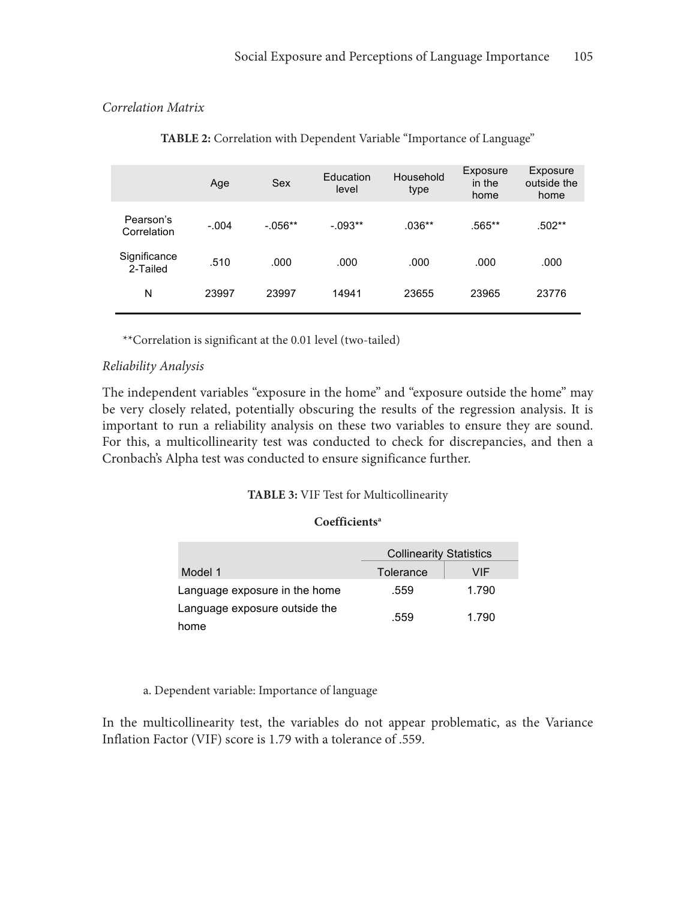## *Correlation Matrix*

|                          | Age     | Sex        | Education<br>level | Household<br>type | Exposure<br>in the<br>home | Exposure<br>outside the<br>home |
|--------------------------|---------|------------|--------------------|-------------------|----------------------------|---------------------------------|
| Pearson's<br>Correlation | $-.004$ | $-0.056**$ | $-.093**$          | $.036**$          | .565**                     | .502**                          |
| Significance<br>2-Tailed | .510    | .000       | .000               | .000              | .000                       | .000                            |
| N                        | 23997   | 23997      | 14941              | 23655             | 23965                      | 23776                           |

**TABLE 2:** Correlation with Dependent Variable "Importance of Language"

\*\*Correlation is significant at the 0.01 level (two-tailed)

#### *Reliability Analysis*

The independent variables "exposure in the home" and "exposure outside the home" may be very closely related, potentially obscuring the results of the regression analysis. It is important to run a reliability analysis on these two variables to ensure they are sound. For this, a multicollinearity test was conducted to check for discrepancies, and then a Cronbach's Alpha test was conducted to ensure significance further.

#### **TABLE 3:** VIF Test for Multicollinearity

#### **Coefficientsa**

|                               | <b>Collinearity Statistics</b> |       |  |  |
|-------------------------------|--------------------------------|-------|--|--|
| Model 1                       | Tolerance                      | VIF   |  |  |
| Language exposure in the home | .559                           | 1.790 |  |  |
| Language exposure outside the | .559                           | 1.790 |  |  |
| home                          |                                |       |  |  |

a. Dependent variable: Importance of language

In the multicollinearity test, the variables do not appear problematic, as the Variance Inflation Factor (VIF) score is 1.79 with a tolerance of .559.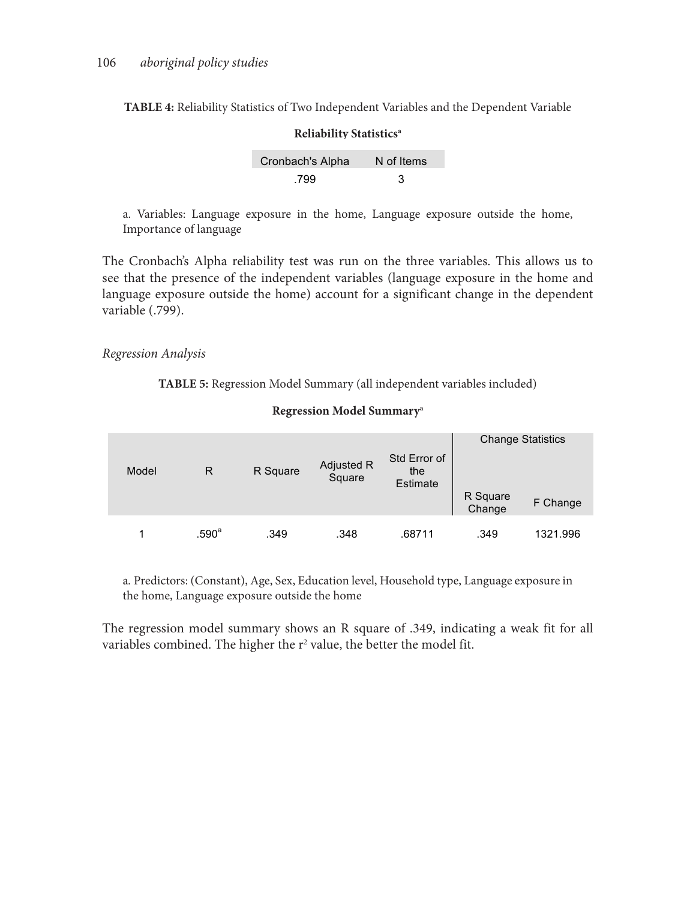**TABLE 4:** Reliability Statistics of Two Independent Variables and the Dependent Variable

| Reliability Statistics <sup>a</sup> |            |  |  |  |  |  |
|-------------------------------------|------------|--|--|--|--|--|
| Cronbach's Alpha                    | N of Items |  |  |  |  |  |
| .799                                | З          |  |  |  |  |  |

a. Variables: Language exposure in the home, Language exposure outside the home, Importance of language

The Cronbach's Alpha reliability test was run on the three variables. This allows us to see that the presence of the independent variables (language exposure in the home and language exposure outside the home) account for a significant change in the dependent variable (.799).

#### *Regression Analysis*

**TABLE 5:** Regression Model Summary (all independent variables included)

| Model | R                 | R Square | Adjusted R<br>Square | Std Error of<br>the<br>Estimate | R Square<br>Change | <b>Change Statistics</b><br>F Change |
|-------|-------------------|----------|----------------------|---------------------------------|--------------------|--------------------------------------|
|       | .590 <sup>a</sup> | .349     | .348                 | .68711                          | .349               | 1321.996                             |

#### **Regression Model Summarya**

a*.* Predictors: (Constant), Age, Sex, Education level, Household type, Language exposure in the home, Language exposure outside the home

The regression model summary shows an R square of .349, indicating a weak fit for all variables combined. The higher the  $r^2$  value, the better the model fit.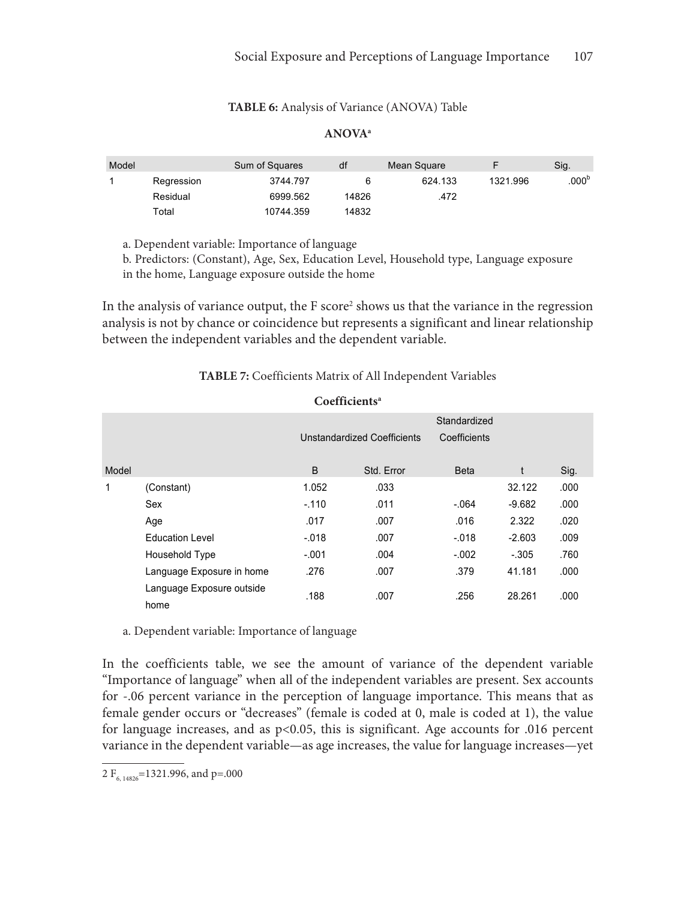#### **TABLE 6:** Analysis of Variance (ANOVA) Table

## **ANOVAa**

| Model |            | Sum of Squares | df    | Mean Square |          | Sig.              |
|-------|------------|----------------|-------|-------------|----------|-------------------|
|       | Regression | 3744.797       |       | 624.133     | 1321.996 | .000 <sup>b</sup> |
|       | Residual   | 6999.562       | 14826 | .472        |          |                   |
|       | Total      | 10744.359      | 14832 |             |          |                   |

a. Dependent variable: Importance of language a. Dependent variable: Importance of language a. Dependent variable: Importance of language

b. Predictors: (Constant), Age, Sex, Education Level, Household type, Language exposure in the home, Language exposure outside the home

In the analysis of variance output, the F score<sup>2</sup> shows us that the variance in the regression analysis is not by chance or coincidence but represents a significant and linear relationship between the independent variables and the dependent variable.

## **TABLE 7:** Coefficients Matrix of All Independent Variables

| Coefficients <sup>a</sup> |                                   |              |            |              |          |      |  |  |  |
|---------------------------|-----------------------------------|--------------|------------|--------------|----------|------|--|--|--|
|                           |                                   |              |            | Standardized |          |      |  |  |  |
|                           |                                   | Coefficients |            |              |          |      |  |  |  |
| Model                     |                                   | B            | Std. Error | <b>Beta</b>  |          | Sig. |  |  |  |
| 1                         | (Constant)                        | 1.052        | .033       |              | 32.122   | .000 |  |  |  |
|                           | Sex                               | $-.110$      | .011       | $-.064$      | $-9.682$ | .000 |  |  |  |
|                           | Age                               | .017         | .007       | .016         | 2.322    | .020 |  |  |  |
|                           | <b>Education Level</b>            | $-.018$      | .007       | $-.018$      | $-2.603$ | .009 |  |  |  |
|                           | Household Type                    | $-.001$      | .004       | $-.002$      | $-.305$  | .760 |  |  |  |
|                           | Language Exposure in home         | .276         | .007       | .379         | 41.181   | .000 |  |  |  |
|                           | Language Exposure outside<br>home | .188         | .007       | .256         | 28.261   | .000 |  |  |  |

a. Dependent variable: Importance of language

In the coefficients table, we see the amount of variance of the dependent variable "Importance of language" when all of the independent variables are present. Sex accounts for -.06 percent variance in the perception of language importance. This means that as female gender occurs or "decreases" (female is coded at 0, male is coded at 1), the value for language increases, and as p<0.05, this is significant. Age accounts for .016 percent variance in the dependent variable—as age increases, the value for language increases—yet

<sup>2</sup>  $F_{6, 14826}$ =1321.996, and p=.000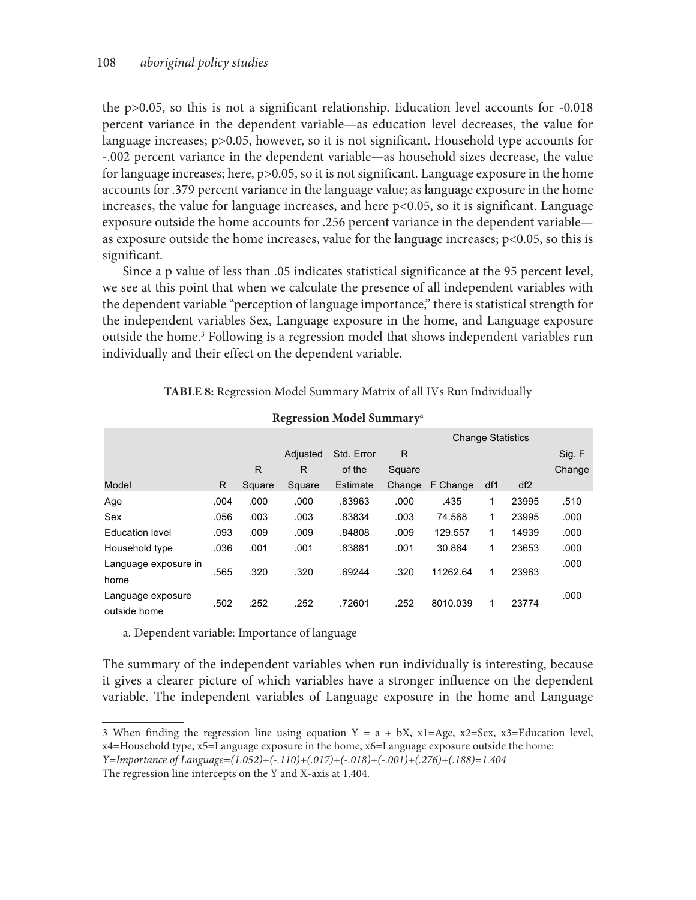the p>0.05, so this is not a significant relationship. Education level accounts for -0.018 percent variance in the dependent variable—as education level decreases, the value for language increases; p>0.05, however, so it is not significant. Household type accounts for -.002 percent variance in the dependent variable—as household sizes decrease, the value for language increases; here, p>0.05, so it is not significant. Language exposure in the home accounts for .379 percent variance in the language value; as language exposure in the home increases, the value for language increases, and here p<0.05, so it is significant. Language exposure outside the home accounts for .256 percent variance in the dependent variable as exposure outside the home increases, value for the language increases; p<0.05, so this is significant.

Since a p value of less than .05 indicates statistical significance at the 95 percent level, we see at this point that when we calculate the presence of all independent variables with the dependent variable "perception of language importance," there is statistical strength for the independent variables Sex, Language exposure in the home, and Language exposure outside the home.<sup>3</sup> Following is a regression model that shows independent variables run individually and their effect on the dependent variable.

| TABLE 8: Regression Model Summary Matrix of all IVs Run Individually |  |  |  |
|----------------------------------------------------------------------|--|--|--|
|----------------------------------------------------------------------|--|--|--|

|                                   |      |        | ັ        |            |        |                          |     |       |        |
|-----------------------------------|------|--------|----------|------------|--------|--------------------------|-----|-------|--------|
|                                   |      |        |          |            |        | <b>Change Statistics</b> |     |       |        |
|                                   |      |        | Adjusted | Std. Error | R      |                          |     |       | Sig. F |
|                                   |      | R      | R        | of the     | Square |                          |     |       | Change |
| Model                             | R    | Square | Square   | Estimate   | Change | F Change                 | df1 | df2   |        |
| Age                               | .004 | .000   | .000     | .83963     | .000   | .435                     | 1   | 23995 | .510   |
| Sex                               | .056 | .003   | .003     | .83834     | .003   | 74.568                   | 1   | 23995 | .000   |
| <b>Education level</b>            | .093 | .009   | .009     | .84808     | .009   | 129.557                  | 1   | 14939 | .000   |
| Household type                    | .036 | .001   | .001     | .83881     | .001   | 30.884                   | 1   | 23653 | .000   |
| Language exposure in              | .565 | .320   | .320     | .69244     | .320   | 11262.64                 | 1   | 23963 | .000   |
| home                              |      |        |          |            |        |                          |     |       |        |
| Language exposure<br>outside home | .502 | .252   | .252     | .72601     | .252   | 8010.039                 | 1   | 23774 | .000   |

## **Regression Model Summarya**

a. Dependent variable: Importance of language

The summary of the independent variables when run individually is interesting, because it gives a clearer picture of which variables have a stronger influence on the dependent variable. The independent variables of Language exposure in the home and Language

<sup>3</sup> When finding the regression line using equation  $Y = a + bX$ ,  $x1 = Age$ ,  $x2 = Sex$ ,  $x3 = Education$  level, x4=Household type, x5=Language exposure in the home, x6=Language exposure outside the home: *Y=Importance of Language=(1.052)+(-.110)+(.017)+(-.018)+(-.001)+(.276)+(.188)=1.404*

The regression line intercepts on the Y and X-axis at 1.404.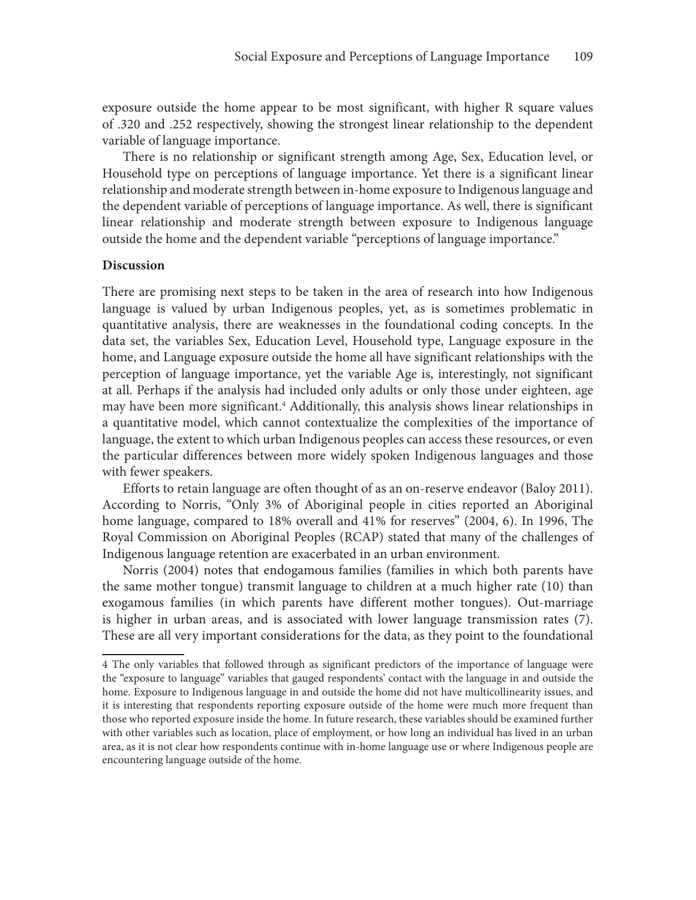exposure outside the home appear to be most significant, with higher R square values of .320 and .252 respectively, showing the strongest linear relationship to the dependent variable of language importance.

There is no relationship or significant strength among Age, Sex, Education level, or Household type on perceptions of language importance. Yet there is a significant linear relationship and moderate strength between in-home exposure to Indigenous language and the dependent variable of perceptions of language importance. As well, there is significant linear relationship and moderate strength between exposure to Indigenous language outside the home and the dependent variable "perceptions of language importance."

#### **Discussion**

There are promising next steps to be taken in the area of research into how Indigenous language is valued by urban Indigenous peoples, yet, as is sometimes problematic in quantitative analysis, there are weaknesses in the foundational coding concepts. In the data set, the variables Sex, Education Level, Household type, Language exposure in the home, and Language exposure outside the home all have significant relationships with the perception of language importance, yet the variable Age is, interestingly, not significant at all. Perhaps if the analysis had included only adults or only those under eighteen, age may have been more significant.4 Additionally, this analysis shows linear relationships in a quantitative model, which cannot contextualize the complexities of the importance of language, the extent to which urban Indigenous peoples can access these resources, or even the particular differences between more widely spoken Indigenous languages and those with fewer speakers.

Efforts to retain language are often thought of as an on-reserve endeavor (Baloy 2011). According to Norris, "Only 3% of Aboriginal people in cities reported an Aboriginal home language, compared to 18% overall and 41% for reserves" (2004, 6). In 1996, The Royal Commission on Aboriginal Peoples (RCAP) stated that many of the challenges of Indigenous language retention are exacerbated in an urban environment.

Norris (2004) notes that endogamous families (families in which both parents have the same mother tongue) transmit language to children at a much higher rate (10) than exogamous families (in which parents have different mother tongues). Out-marriage is higher in urban areas, and is associated with lower language transmission rates (7). These are all very important considerations for the data, as they point to the foundational

<sup>4</sup> The only variables that followed through as significant predictors of the importance of language were the "exposure to language" variables that gauged respondents' contact with the language in and outside the home. Exposure to Indigenous language in and outside the home did not have multicollinearity issues, and it is interesting that respondents reporting exposure outside of the home were much more frequent than those who reported exposure inside the home. In future research, these variables should be examined further with other variables such as location, place of employment, or how long an individual has lived in an urban area, as it is not clear how respondents continue with in-home language use or where Indigenous people are encountering language outside of the home.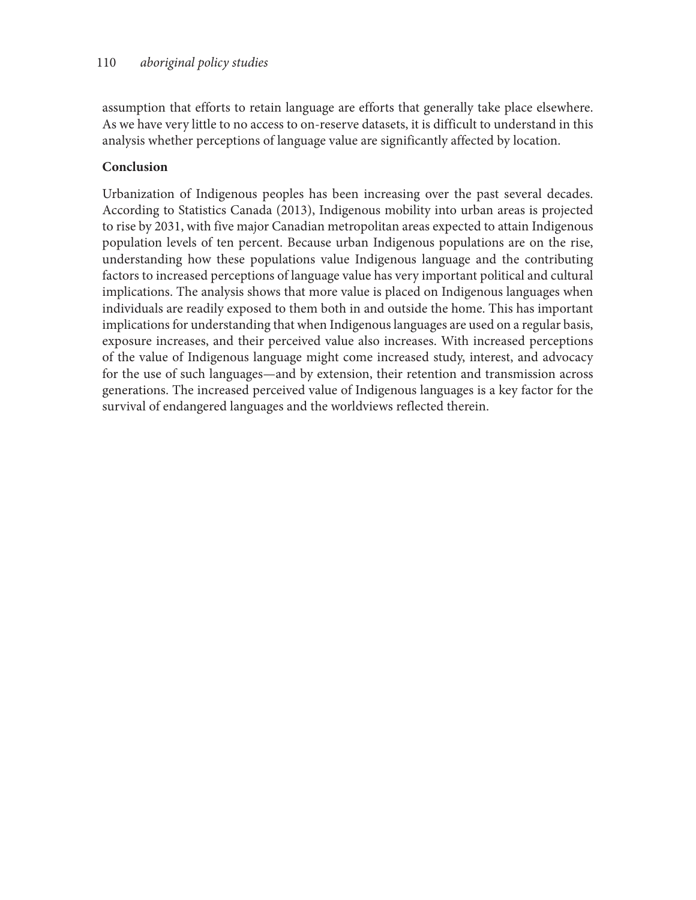assumption that efforts to retain language are efforts that generally take place elsewhere. As we have very little to no access to on-reserve datasets, it is difficult to understand in this analysis whether perceptions of language value are significantly affected by location.

# **Conclusion**

Urbanization of Indigenous peoples has been increasing over the past several decades. According to Statistics Canada (2013), Indigenous mobility into urban areas is projected to rise by 2031, with five major Canadian metropolitan areas expected to attain Indigenous population levels of ten percent. Because urban Indigenous populations are on the rise, understanding how these populations value Indigenous language and the contributing factors to increased perceptions of language value has very important political and cultural implications. The analysis shows that more value is placed on Indigenous languages when individuals are readily exposed to them both in and outside the home. This has important implications for understanding that when Indigenous languages are used on a regular basis, exposure increases, and their perceived value also increases. With increased perceptions of the value of Indigenous language might come increased study, interest, and advocacy for the use of such languages—and by extension, their retention and transmission across generations. The increased perceived value of Indigenous languages is a key factor for the survival of endangered languages and the worldviews reflected therein.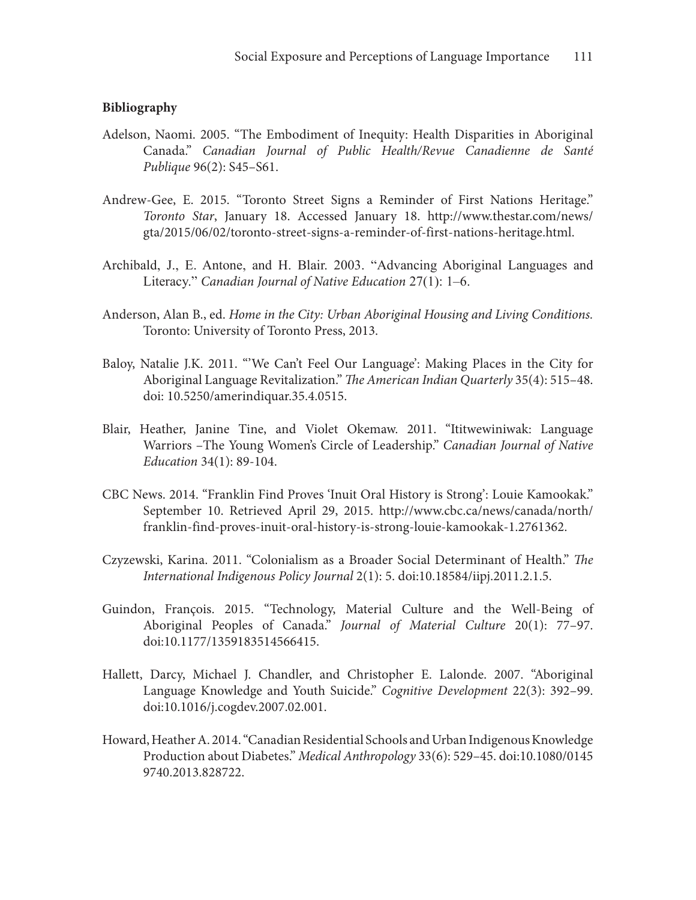## **Bibliography**

- Adelson, Naomi. 2005. "The Embodiment of Inequity: Health Disparities in Aboriginal Canada." *Canadian Journal of Public Health/Revue Canadienne de Santé Publique* 96(2): S45–S61.
- Andrew-Gee, E. 2015. "Toronto Street Signs a Reminder of First Nations Heritage." *Toronto Star*, January 18. Accessed January 18. http://www.thestar.com/news/ gta/2015/06/02/toronto-street-signs-a-reminder-of-first-nations-heritage.html.
- Archibald, J., E. Antone, and H. Blair. 2003. "Advancing Aboriginal Languages and Literacy." *Canadian Journal of Native Education* 27(1): 1–6.
- Anderson, Alan B., ed. *Home in the City: Urban Aboriginal Housing and Living Conditions.*  Toronto: University of Toronto Press, 2013.
- Baloy, Natalie J.K. 2011. "'We Can't Feel Our Language': Making Places in the City for Aboriginal Language Revitalization." *The American Indian Quarterly* 35(4): 515–48. doi: 10.5250/amerindiquar.35.4.0515.
- Blair, Heather, Janine Tine, and Violet Okemaw. 2011. "Ititwewiniwak: Language Warriors –The Young Women's Circle of Leadership." *Canadian Journal of Native Education* 34(1): 89-104.
- CBC News. 2014. "Franklin Find Proves 'Inuit Oral History is Strong': Louie Kamookak." September 10. Retrieved April 29, 2015. http://www.cbc.ca/news/canada/north/ franklin-find-proves-inuit-oral-history-is-strong-louie-kamookak-1.2761362.
- Czyzewski, Karina. 2011. "Colonialism as a Broader Social Determinant of Health." *The International Indigenous Policy Journal* 2(1): 5. doi:10.18584/iipj.2011.2.1.5.
- Guindon, François. 2015. "Technology, Material Culture and the Well-Being of Aboriginal Peoples of Canada." *Journal of Material Culture* 20(1): 77–97. doi:10.1177/1359183514566415.
- Hallett, Darcy, Michael J. Chandler, and Christopher E. Lalonde. 2007. "Aboriginal Language Knowledge and Youth Suicide." *Cognitive Development*  22(3): 392–99. doi:10.1016/j.cogdev.2007.02.001.
- Howard, Heather A. 2014. "Canadian Residential Schools and Urban Indigenous Knowledge Production about Diabetes." *Medical Anthropology* 33(6): 529–45. doi:10.1080/0145 9740.2013.828722.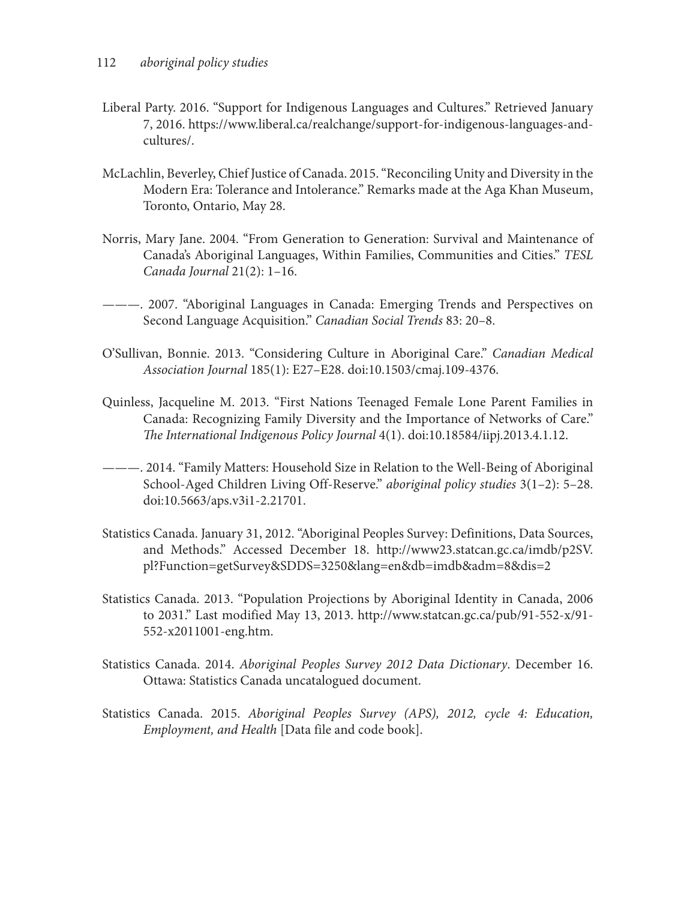- Liberal Party. 2016. "Support for Indigenous Languages and Cultures." Retrieved January 7, 2016. https://www.liberal.ca/realchange/support-for-indigenous-languages-andcultures/.
- McLachlin, Beverley, Chief Justice of Canada. 2015. "Reconciling Unity and Diversity in the Modern Era: Tolerance and Intolerance." Remarks made at the Aga Khan Museum, Toronto, Ontario, May 28.
- Norris, Mary Jane. 2004. "From Generation to Generation: Survival and Maintenance of Canada's Aboriginal Languages, Within Families, Communities and Cities." *TESL Canada Journal* 21(2): 1–16.
- ———. 2007. "Aboriginal Languages in Canada: Emerging Trends and Perspectives on Second Language Acquisition." *Canadian Social Trends* 83: 20–8.
- O'Sullivan, Bonnie. 2013. "Considering Culture in Aboriginal Care." *Canadian Medical Association Journal* 185(1): E27–E28. doi:10.1503/cmaj.109-4376.
- Quinless, Jacqueline M. 2013. "First Nations Teenaged Female Lone Parent Families in Canada: Recognizing Family Diversity and the Importance of Networks of Care." *The International Indigenous Policy Journal* 4(1). doi:10.18584/iipj.2013.4.1.12.
- ———. 2014. "Family Matters: Household Size in Relation to the Well-Being of Aboriginal School-Aged Children Living Off-Reserve." *aboriginal policy studies* 3(1–2): 5–28. doi:10.5663/aps.v3i1-2.21701.
- Statistics Canada. January 31, 2012. "Aboriginal Peoples Survey: Definitions, Data Sources, and Methods." Accessed December 18. http://www23.statcan.gc.ca/imdb/p2SV. pl?Function=getSurvey&SDDS=3250&lang=en&db=imdb&adm=8&dis=2
- Statistics Canada. 2013. "Population Projections by Aboriginal Identity in Canada, 2006 to 2031." Last modified May 13, 2013. http://www.statcan.gc.ca/pub/91-552-x/91- 552-x2011001-eng.htm.
- Statistics Canada. 2014. *Aboriginal Peoples Survey 2012 Data Dictionary*. December 16. Ottawa: Statistics Canada uncatalogued document.
- Statistics Canada. 2015. *Aboriginal Peoples Survey (APS), 2012, cycle 4: Education, Employment, and Health* [Data file and code book].